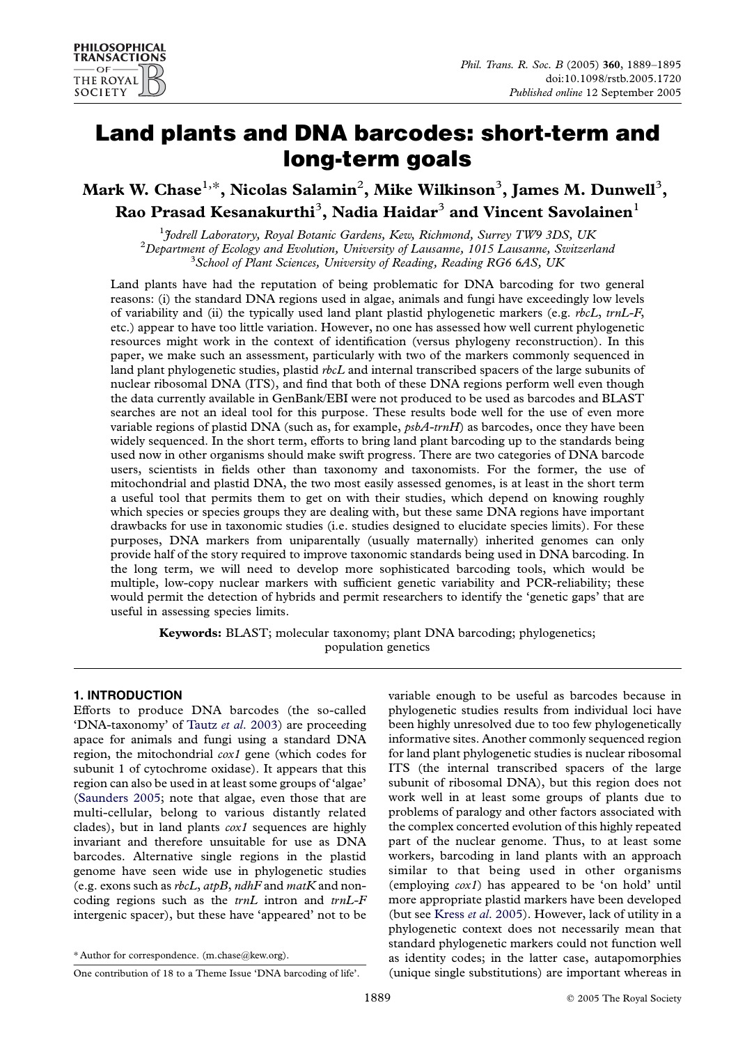# Land plants and DNA barcodes: short-term and long-term goals

Mark W. Chase $^{1,\ast},$  Nicolas Salamin $^2,$  Mike Wilkinson $^3,$  James M. Dunwell $^3,$ Rao Prasad Kesanakurthi $^3$ , Nadia Haidar $^3$  and Vincent Savolainen $^1$ 

<sup>1</sup> Jodrell Laboratory, Royal Botanic Gardens, Kew, Richmond, Surrey TW9 3DS, UK<br><sup>2</sup> Department of Ecclesy and Englytion, University of Lausanne, 1015 Lausanne, Savitagel  $^{2}$ Department of Ecology and Evolution, University of Lausanne, 1015 Lausanne, Switzerland  $3$  School of Plant Sciences, University of Reading, Reading RG6 6AS, UK

Land plants have had the reputation of being problematic for DNA barcoding for two general reasons: (i) the standard DNA regions used in algae, animals and fungi have exceedingly low levels of variability and (ii) the typically used land plant plastid phylogenetic markers (e.g.  $rbcL$ ,  $trnL-F$ , etc.) appear to have too little variation. However, no one has assessed how well current phylogenetic resources might work in the context of identification (versus phylogeny reconstruction). In this paper, we make such an assessment, particularly with two of the markers commonly sequenced in land plant phylogenetic studies, plastid *rbcL* and internal transcribed spacers of the large subunits of nuclear ribosomal DNA (ITS), and find that both of these DNA regions perform well even though the data currently available in GenBank/EBI were not produced to be used as barcodes and BLAST searches are not an ideal tool for this purpose. These results bode well for the use of even more variable regions of plastid DNA (such as, for example,  $psbA-trnH$ ) as barcodes, once they have been widely sequenced. In the short term, efforts to bring land plant barcoding up to the standards being used now in other organisms should make swift progress. There are two categories of DNA barcode users, scientists in fields other than taxonomy and taxonomists. For the former, the use of mitochondrial and plastid DNA, the two most easily assessed genomes, is at least in the short term a useful tool that permits them to get on with their studies, which depend on knowing roughly which species or species groups they are dealing with, but these same DNA regions have important drawbacks for use in taxonomic studies (i.e. studies designed to elucidate species limits). For these purposes, DNA markers from uniparentally (usually maternally) inherited genomes can only provide half of the story required to improve taxonomic standards being used in DNA barcoding. In the long term, we will need to develop more sophisticated barcoding tools, which would be multiple, low-copy nuclear markers with sufficient genetic variability and PCR-reliability; these would permit the detection of hybrids and permit researchers to identify the 'genetic gaps' that are useful in assessing species limits.

Keywords: BLAST; molecular taxonomy; plant DNA barcoding; phylogenetics; population genetics

## 1. INTRODUCTION

Efforts to produce DNA barcodes (the so-called 'DNA-taxonomy' of Tautz et al[. 2003\)](#page-6-0) are proceeding apace for animals and fungi using a standard DNA region, the mitochondrial cox1 gene (which codes for subunit 1 of cytochrome oxidase). It appears that this region can also be used in at least some groups of 'algae' [\(Saunders 2005;](#page-6-0) note that algae, even those that are multi-cellular, belong to various distantly related clades), but in land plants  $\cos 1$  sequences are highly invariant and therefore unsuitable for use as DNA barcodes. Alternative single regions in the plastid genome have seen wide use in phylogenetic studies (e.g. exons such as  $rbcL$ ,  $atpB$ ,  $ndhF$  and  $matK$  and noncoding regions such as the  $trnL$  intron and  $trnL-F$ intergenic spacer), but these have 'appeared' not to be

One contribution of 18 to a Theme Issue 'DNA barcoding of life'.

variable enough to be useful as barcodes because in phylogenetic studies results from individual loci have been highly unresolved due to too few phylogenetically informative sites. Another commonly sequenced region for land plant phylogenetic studies is nuclear ribosomal ITS (the internal transcribed spacers of the large subunit of ribosomal DNA), but this region does not work well in at least some groups of plants due to problems of paralogy and other factors associated with the complex concerted evolution of this highly repeated part of the nuclear genome. Thus, to at least some workers, barcoding in land plants with an approach similar to that being used in other organisms (employing cox1) has appeared to be 'on hold' until more appropriate plastid markers have been developed (but see Kress et al[. 2005](#page-5-0)). However, lack of utility in a phylogenetic context does not necessarily mean that standard phylogenetic markers could not function well as identity codes; in the latter case, autapomorphies (unique single substitutions) are important whereas in

<sup>\*</sup> Author for correspondence. (m.chase@kew.org).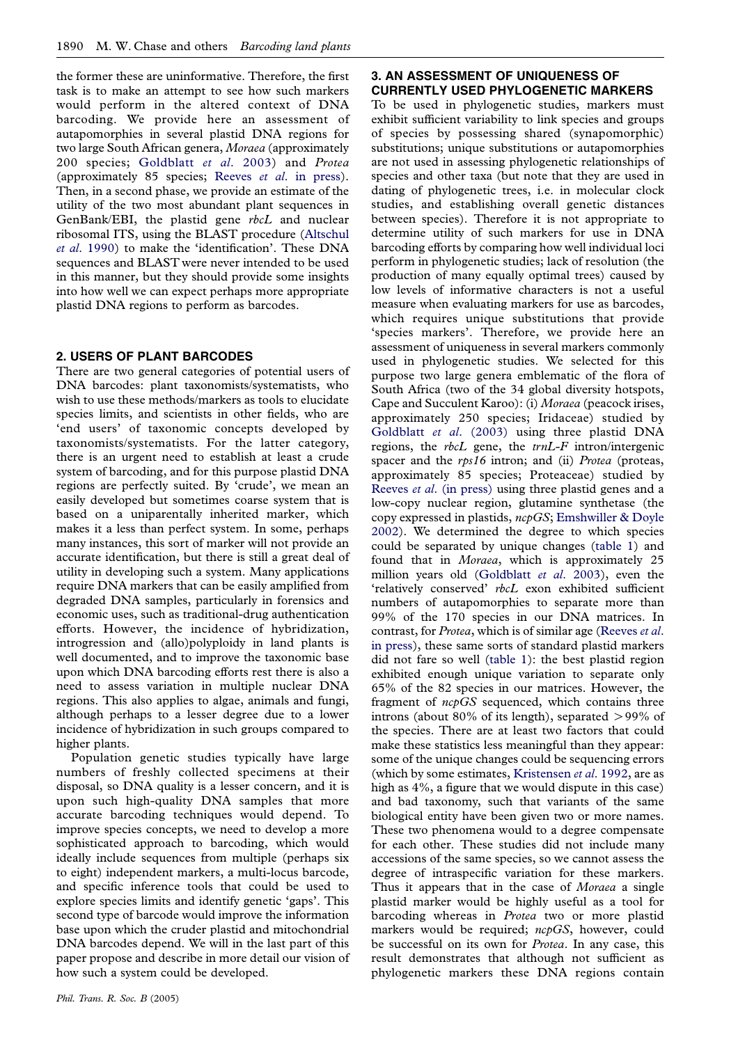the former these are uninformative. Therefore, the first task is to make an attempt to see how such markers would perform in the altered context of DNA barcoding. We provide here an assessment of autapomorphies in several plastid DNA regions for two large South African genera, Moraea (approximately 200 species; [Goldblatt](#page-5-0) et al. 2003) and Protea (approximately 85 species; Reeves et al[. in press\)](#page-6-0). Then, in a second phase, we provide an estimate of the utility of the two most abundant plant sequences in GenBank/EBI, the plastid gene rbcL and nuclear ribosomal ITS, using the BLAST procedure ([Altschul](#page-5-0) et al[. 1990](#page-5-0)) to make the 'identification'. These DNA sequences and BLAST were never intended to be used in this manner, but they should provide some insights into how well we can expect perhaps more appropriate plastid DNA regions to perform as barcodes.

### 2. USERS OF PLANT BARCODES

There are two general categories of potential users of DNA barcodes: plant taxonomists/systematists, who wish to use these methods/markers as tools to elucidate species limits, and scientists in other fields, who are 'end users' of taxonomic concepts developed by taxonomists/systematists. For the latter category, there is an urgent need to establish at least a crude system of barcoding, and for this purpose plastid DNA regions are perfectly suited. By 'crude', we mean an easily developed but sometimes coarse system that is based on a uniparentally inherited marker, which makes it a less than perfect system. In some, perhaps many instances, this sort of marker will not provide an accurate identification, but there is still a great deal of utility in developing such a system. Many applications require DNA markers that can be easily amplified from degraded DNA samples, particularly in forensics and economic uses, such as traditional-drug authentication efforts. However, the incidence of hybridization, introgression and (allo)polyploidy in land plants is well documented, and to improve the taxonomic base upon which DNA barcoding efforts rest there is also a need to assess variation in multiple nuclear DNA regions. This also applies to algae, animals and fungi, although perhaps to a lesser degree due to a lower incidence of hybridization in such groups compared to higher plants.

Population genetic studies typically have large numbers of freshly collected specimens at their disposal, so DNA quality is a lesser concern, and it is upon such high-quality DNA samples that more accurate barcoding techniques would depend. To improve species concepts, we need to develop a more sophisticated approach to barcoding, which would ideally include sequences from multiple (perhaps six to eight) independent markers, a multi-locus barcode, and specific inference tools that could be used to explore species limits and identify genetic 'gaps'. This second type of barcode would improve the information base upon which the cruder plastid and mitochondrial DNA barcodes depend. We will in the last part of this paper propose and describe in more detail our vision of how such a system could be developed.

## 3. AN ASSESSMENT OF UNIQUENESS OF CURRENTLY USED PHYLOGENETIC MARKERS

To be used in phylogenetic studies, markers must exhibit sufficient variability to link species and groups of species by possessing shared (synapomorphic) substitutions; unique substitutions or autapomorphies are not used in assessing phylogenetic relationships of species and other taxa (but note that they are used in dating of phylogenetic trees, i.e. in molecular clock studies, and establishing overall genetic distances between species). Therefore it is not appropriate to determine utility of such markers for use in DNA barcoding efforts by comparing how well individual loci perform in phylogenetic studies; lack of resolution (the production of many equally optimal trees) caused by low levels of informative characters is not a useful measure when evaluating markers for use as barcodes, which requires unique substitutions that provide 'species markers'. Therefore, we provide here an assessment of uniqueness in several markers commonly used in phylogenetic studies. We selected for this purpose two large genera emblematic of the flora of South Africa (two of the 34 global diversity hotspots, Cape and Succulent Karoo): (i) Moraea (peacock irises, approximately 250 species; Iridaceae) studied by [Goldblatt](#page-5-0) et al. (2003) using three plastid DNA regions, the rbcL gene, the trnL-F intron/intergenic spacer and the rps16 intron; and (ii) Protea (proteas, approximately 85 species; Proteaceae) studied by Reeves et al[. \(in press\)](#page-6-0) using three plastid genes and a low-copy nuclear region, glutamine synthetase (the copy expressed in plastids, ncpGS; [Emshwiller & Doyle](#page-5-0) [2002](#page-5-0)). We determined the degree to which species could be separated by unique changes [\(table 1](#page-2-0)) and found that in Moraea, which is approximately 25 million years old [\(Goldblatt](#page-5-0) et al. 2003), even the 'relatively conserved' rbcL exon exhibited sufficient numbers of autapomorphies to separate more than 99% of the 170 species in our DNA matrices. In contrast, for Protea, which is of similar age [\(Reeves](#page-6-0) et al. [in press\)](#page-6-0), these same sorts of standard plastid markers did not fare so well ([table 1](#page-2-0)): the best plastid region exhibited enough unique variation to separate only 65% of the 82 species in our matrices. However, the fragment of ncpGS sequenced, which contains three introns (about 80% of its length), separated  $>99\%$  of the species. There are at least two factors that could make these statistics less meaningful than they appear: some of the unique changes could be sequencing errors (which by some estimates, [Kristensen](#page-5-0) et al. 1992, are as high as 4%, a figure that we would dispute in this case) and bad taxonomy, such that variants of the same biological entity have been given two or more names. These two phenomena would to a degree compensate for each other. These studies did not include many accessions of the same species, so we cannot assess the degree of intraspecific variation for these markers. Thus it appears that in the case of *Moraea* a single plastid marker would be highly useful as a tool for barcoding whereas in Protea two or more plastid markers would be required; ncpGS, however, could be successful on its own for Protea. In any case, this result demonstrates that although not sufficient as phylogenetic markers these DNA regions contain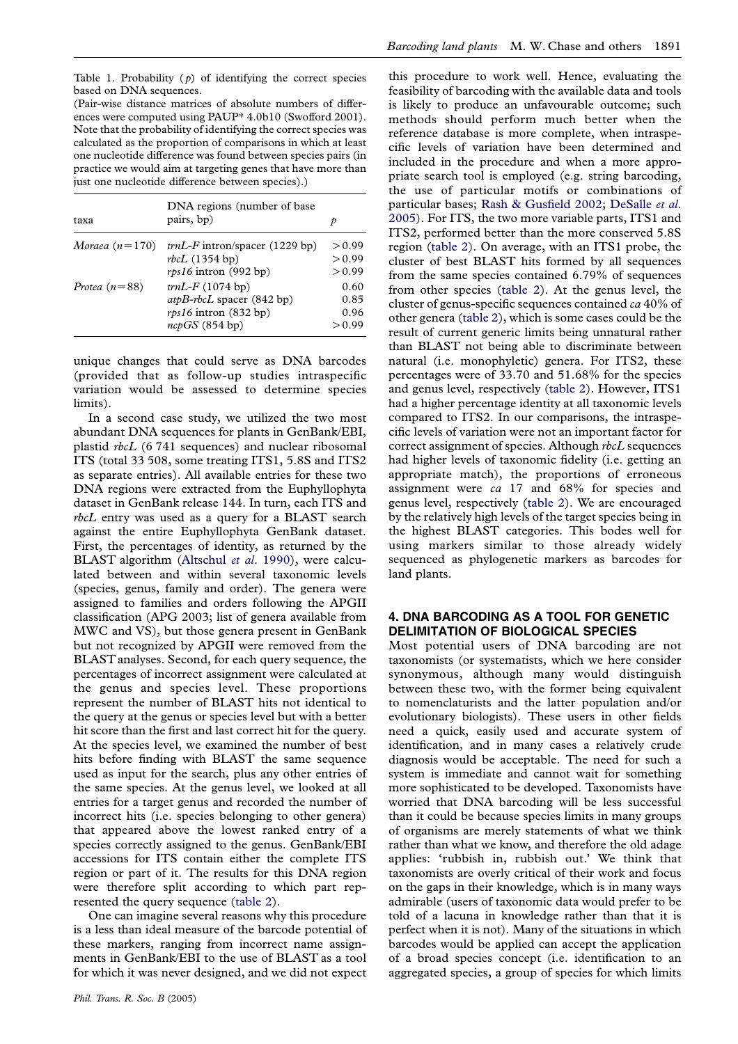<span id="page-2-0"></span>Table 1. Probability  $(p)$  of identifying the correct species based on DNA sequences.

(Pair-wise distance matrices of absolute numbers of differences were computed using PAUP\* 4.0b10 (Swofford 2001). Note that the probability of identifying the correct species was calculated as the proportion of comparisons in which at least one nucleotide difference was found between species pairs (in practice we would aim at targeting genes that have more than just one nucleotide difference between species).)

| taxa             | DNA regions (number of base)<br>pairs, bp) | р      |
|------------------|--------------------------------------------|--------|
| Moraea $(n=170)$ | $trnL-F$ intron/spacer (1229 bp)           | > 0.99 |
|                  | rbcL(1354bp)                               | > 0.99 |
|                  | $rps16$ intron (992 bp)                    | > 0.99 |
| Protea $(n=88)$  | $trnL-F(1074bp)$                           | 0.60   |
|                  | $atpB$ -rbcL spacer (842 bp)               | 0.85   |
|                  | $rps16$ intron (832 bp)                    | 0.96   |
|                  | ncpGS(854 bp)                              | > 0.99 |

unique changes that could serve as DNA barcodes (provided that as follow-up studies intraspecific variation would be assessed to determine species limits).

In a second case study, we utilized the two most abundant DNA sequences for plants in GenBank/EBI, plastid rbcL (6 741 sequences) and nuclear ribosomal ITS (total 33 508, some treating ITS1, 5.8S and ITS2 as separate entries). All available entries for these two DNA regions were extracted from the Euphyllophyta dataset in GenBank release 144. In turn, each ITS and rbcL entry was used as a query for a BLAST search against the entire Euphyllophyta GenBank dataset. First, the percentages of identity, as returned by the BLAST algorithm [\(Altschul](#page-5-0) et al. 1990), were calculated between and within several taxonomic levels (species, genus, family and order). The genera were assigned to families and orders following the APGII classification (APG 2003; list of genera available from MWC and VS), but those genera present in GenBank but not recognized by APGII were removed from the BLASTanalyses. Second, for each query sequence, the percentages of incorrect assignment were calculated at the genus and species level. These proportions represent the number of BLAST hits not identical to the query at the genus or species level but with a better hit score than the first and last correct hit for the query. At the species level, we examined the number of best hits before finding with BLAST the same sequence used as input for the search, plus any other entries of the same species. At the genus level, we looked at all entries for a target genus and recorded the number of incorrect hits (i.e. species belonging to other genera) that appeared above the lowest ranked entry of a species correctly assigned to the genus. GenBank/EBI accessions for ITS contain either the complete ITS region or part of it. The results for this DNA region were therefore split according to which part represented the query sequence ([table 2](#page-3-0)).

One can imagine several reasons why this procedure is a less than ideal measure of the barcode potential of these markers, ranging from incorrect name assignments in GenBank/EBI to the use of BLAST as a tool for which it was never designed, and we did not expect

this procedure to work well. Hence, evaluating the feasibility of barcoding with the available data and tools is likely to produce an unfavourable outcome; such methods should perform much better when the reference database is more complete, when intraspecific levels of variation have been determined and included in the procedure and when a more appropriate search tool is employed (e.g. string barcoding, the use of particular motifs or combinations of particular bases; [Rash & Gusfield 2002;](#page-5-0) [DeSalle](#page-5-0) et al. [2005](#page-5-0)). For ITS, the two more variable parts, ITS1 and ITS2, performed better than the more conserved 5.8S region ([table 2\)](#page-3-0). On average, with an ITS1 probe, the cluster of best BLAST hits formed by all sequences from the same species contained 6.79% of sequences from other species [\(table 2](#page-3-0)). At the genus level, the cluster of genus-specific sequences contained ca 40% of other genera ([table 2\)](#page-3-0), which is some cases could be the result of current generic limits being unnatural rather than BLAST not being able to discriminate between natural (i.e. monophyletic) genera. For ITS2, these percentages were of 33.70 and 51.68% for the species and genus level, respectively ([table 2](#page-3-0)). However, ITS1 had a higher percentage identity at all taxonomic levels compared to ITS2. In our comparisons, the intraspecific levels of variation were not an important factor for correct assignment of species. Although rbcL sequences had higher levels of taxonomic fidelity (i.e. getting an appropriate match), the proportions of erroneous assignment were ca 17 and 68% for species and genus level, respectively [\(table 2](#page-3-0)). We are encouraged by the relatively high levels of the target species being in the highest BLAST categories. This bodes well for using markers similar to those already widely sequenced as phylogenetic markers as barcodes for land plants.

# 4. DNA BARCODING AS A TOOL FOR GENETIC DELIMITATION OF BIOLOGICAL SPECIES

Most potential users of DNA barcoding are not taxonomists (or systematists, which we here consider synonymous, although many would distinguish between these two, with the former being equivalent to nomenclaturists and the latter population and/or evolutionary biologists). These users in other fields need a quick, easily used and accurate system of identification, and in many cases a relatively crude diagnosis would be acceptable. The need for such a system is immediate and cannot wait for something more sophisticated to be developed. Taxonomists have worried that DNA barcoding will be less successful than it could be because species limits in many groups of organisms are merely statements of what we think rather than what we know, and therefore the old adage applies: 'rubbish in, rubbish out.' We think that taxonomists are overly critical of their work and focus on the gaps in their knowledge, which is in many ways admirable (users of taxonomic data would prefer to be told of a lacuna in knowledge rather than that it is perfect when it is not). Many of the situations in which barcodes would be applied can accept the application of a broad species concept (i.e. identification to an aggregated species, a group of species for which limits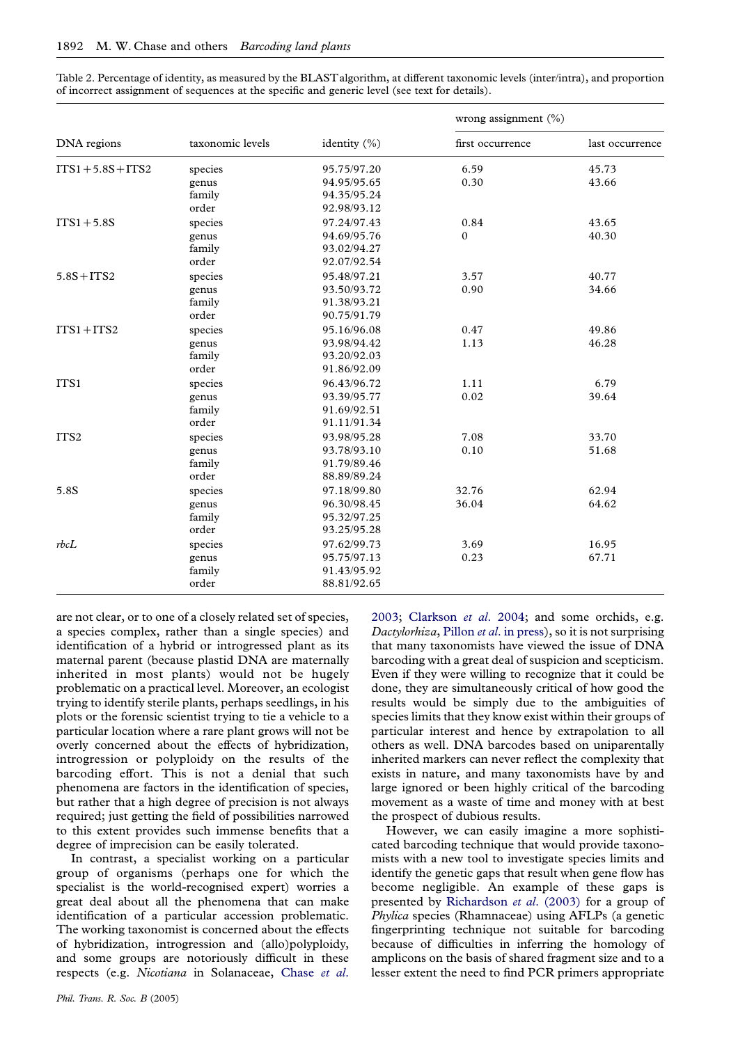<span id="page-3-0"></span>

| Table 2. Percentage of identity, as measured by the BLAST algorithm, at different taxonomic levels (inter/intra), and proportion |  |
|----------------------------------------------------------------------------------------------------------------------------------|--|
| of incorrect assignment of sequences at the specific and generic level (see text for details).                                   |  |

|                      | taxonomic levels | identity $(\%)$ | wrong assignment $(\%)$ |                 |
|----------------------|------------------|-----------------|-------------------------|-----------------|
| DNA regions          |                  |                 | first occurrence        | last occurrence |
| $ITS1 + 5.8S + ITS2$ | species          | 95.75/97.20     | 6.59                    | 45.73           |
|                      | genus            | 94.95/95.65     | 0.30                    | 43.66           |
|                      | family           | 94.35/95.24     |                         |                 |
|                      | order            | 92.98/93.12     |                         |                 |
| $ITS1 + 5.8S$        | species          | 97.24/97.43     | 0.84                    | 43.65           |
|                      | genus            | 94.69/95.76     | $\mathbf{0}$            | 40.30           |
|                      | family           | 93.02/94.27     |                         |                 |
|                      | order            | 92.07/92.54     |                         |                 |
| $5.8S + ITS2$        | species          | 95.48/97.21     | 3.57                    | 40.77           |
|                      | genus            | 93.50/93.72     | 0.90                    | 34.66           |
|                      | family           | 91.38/93.21     |                         |                 |
|                      | order            | 90.75/91.79     |                         |                 |
| $ITS1 + ITS2$        | species          | 95.16/96.08     | 0.47                    | 49.86           |
|                      | genus            | 93.98/94.42     | 1.13                    | 46.28           |
|                      | family           | 93.20/92.03     |                         |                 |
|                      | order            | 91.86/92.09     |                         |                 |
| ITS1                 | species          | 96.43/96.72     | 1.11                    | 6.79            |
|                      | genus            | 93.39/95.77     | 0.02                    | 39.64           |
|                      | family           | 91.69/92.51     |                         |                 |
|                      | order            | 91.11/91.34     |                         |                 |
| ITS <sub>2</sub>     | species          | 93.98/95.28     | 7.08                    | 33.70           |
|                      | genus            | 93.78/93.10     | 0.10                    | 51.68           |
|                      | family           | 91.79/89.46     |                         |                 |
|                      | order            | 88.89/89.24     |                         |                 |
| 5.8S                 | species          | 97.18/99.80     | 32.76                   | 62.94           |
|                      | genus            | 96.30/98.45     | 36.04                   | 64.62           |
|                      | family           | 95.32/97.25     |                         |                 |
|                      | order            | 93.25/95.28     |                         |                 |
| rbcL                 | species          | 97.62/99.73     | 3.69                    | 16.95           |
|                      | genus            | 95.75/97.13     | 0.23                    | 67.71           |
|                      | family           | 91.43/95.92     |                         |                 |
|                      | order            | 88.81/92.65     |                         |                 |

are not clear, or to one of a closely related set of species, a species complex, rather than a single species) and identification of a hybrid or introgressed plant as its maternal parent (because plastid DNA are maternally inherited in most plants) would not be hugely problematic on a practical level. Moreover, an ecologist trying to identify sterile plants, perhaps seedlings, in his plots or the forensic scientist trying to tie a vehicle to a particular location where a rare plant grows will not be overly concerned about the effects of hybridization, introgression or polyploidy on the results of the barcoding effort. This is not a denial that such phenomena are factors in the identification of species, but rather that a high degree of precision is not always required; just getting the field of possibilities narrowed to this extent provides such immense benefits that a degree of imprecision can be easily tolerated.

In contrast, a specialist working on a particular group of organisms (perhaps one for which the specialist is the world-recognised expert) worries a great deal about all the phenomena that can make identification of a particular accession problematic. The working taxonomist is concerned about the effects of hybridization, introgression and (allo)polyploidy, and some groups are notoriously difficult in these respects (e.g. Nicotiana in Solanaceae, [Chase](#page-5-0) et al.

Phil. Trans. R. Soc. B (2005)

[2003](#page-5-0); [Clarkson](#page-5-0) et al. 2004; and some orchids, e.g. Dactylorhiza, Pillon et al[. in press\)](#page-5-0), so it is not surprising that many taxonomists have viewed the issue of DNA barcoding with a great deal of suspicion and scepticism. Even if they were willing to recognize that it could be done, they are simultaneously critical of how good the results would be simply due to the ambiguities of species limits that they know exist within their groups of particular interest and hence by extrapolation to all others as well. DNA barcodes based on uniparentally inherited markers can never reflect the complexity that exists in nature, and many taxonomists have by and large ignored or been highly critical of the barcoding movement as a waste of time and money with at best the prospect of dubious results.

However, we can easily imagine a more sophisticated barcoding technique that would provide taxonomists with a new tool to investigate species limits and identify the genetic gaps that result when gene flow has become negligible. An example of these gaps is presented by [Richardson](#page-6-0) et al. (2003) for a group of Phylica species (Rhamnaceae) using AFLPs (a genetic fingerprinting technique not suitable for barcoding because of difficulties in inferring the homology of amplicons on the basis of shared fragment size and to a lesser extent the need to find PCR primers appropriate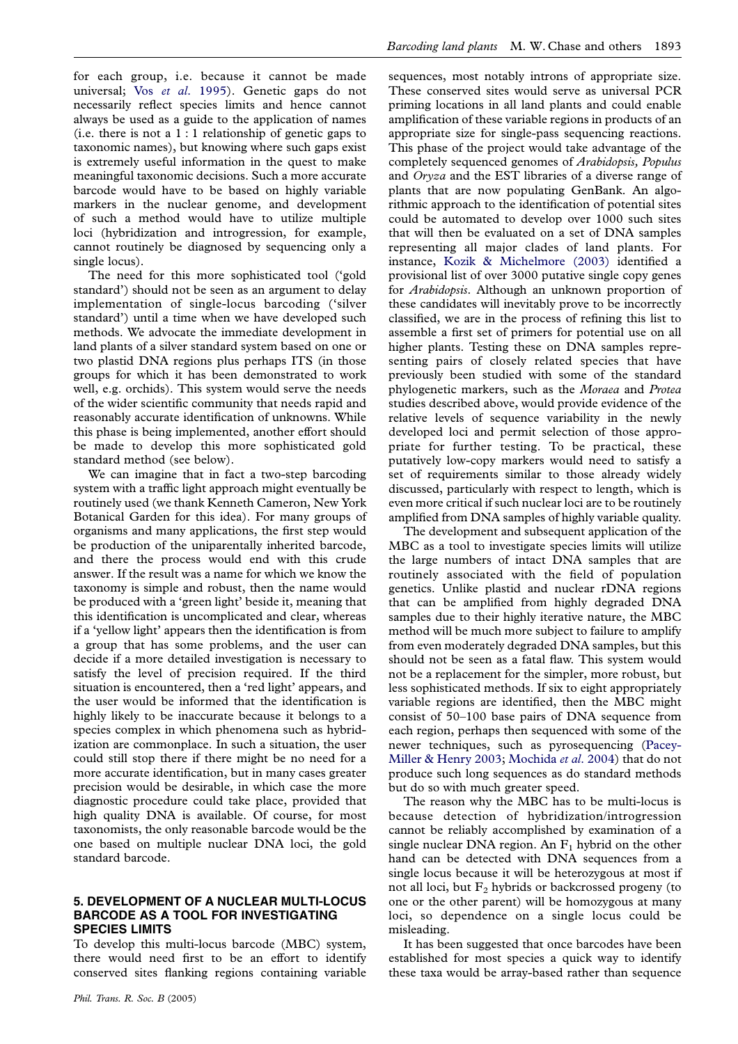for each group, i.e. because it cannot be made universal; Vos et al[. 1995\)](#page-6-0). Genetic gaps do not necessarily reflect species limits and hence cannot always be used as a guide to the application of names (i.e. there is not a  $1:1$  relationship of genetic gaps to taxonomic names), but knowing where such gaps exist is extremely useful information in the quest to make meaningful taxonomic decisions. Such a more accurate barcode would have to be based on highly variable markers in the nuclear genome, and development of such a method would have to utilize multiple loci (hybridization and introgression, for example, cannot routinely be diagnosed by sequencing only a single locus).

The need for this more sophisticated tool ('gold standard') should not be seen as an argument to delay implementation of single-locus barcoding ('silver standard') until a time when we have developed such methods. We advocate the immediate development in land plants of a silver standard system based on one or two plastid DNA regions plus perhaps ITS (in those groups for which it has been demonstrated to work well, e.g. orchids). This system would serve the needs of the wider scientific community that needs rapid and reasonably accurate identification of unknowns. While this phase is being implemented, another effort should be made to develop this more sophisticated gold standard method (see below).

We can imagine that in fact a two-step barcoding system with a traffic light approach might eventually be routinely used (we thank Kenneth Cameron, New York Botanical Garden for this idea). For many groups of organisms and many applications, the first step would be production of the uniparentally inherited barcode, and there the process would end with this crude answer. If the result was a name for which we know the taxonomy is simple and robust, then the name would be produced with a 'green light' beside it, meaning that this identification is uncomplicated and clear, whereas if a 'yellow light' appears then the identification is from a group that has some problems, and the user can decide if a more detailed investigation is necessary to satisfy the level of precision required. If the third situation is encountered, then a 'red light' appears, and the user would be informed that the identification is highly likely to be inaccurate because it belongs to a species complex in which phenomena such as hybridization are commonplace. In such a situation, the user could still stop there if there might be no need for a more accurate identification, but in many cases greater precision would be desirable, in which case the more diagnostic procedure could take place, provided that high quality DNA is available. Of course, for most taxonomists, the only reasonable barcode would be the one based on multiple nuclear DNA loci, the gold standard barcode.

#### 5. DEVELOPMENT OF A NUCLEAR MULTI-LOCUS BARCODE AS A TOOL FOR INVESTIGATING SPECIES LIMITS

To develop this multi-locus barcode (MBC) system, there would need first to be an effort to identify conserved sites flanking regions containing variable

sequences, most notably introns of appropriate size. These conserved sites would serve as universal PCR priming locations in all land plants and could enable amplification of these variable regions in products of an appropriate size for single-pass sequencing reactions. This phase of the project would take advantage of the completely sequenced genomes of Arabidopsis, Populus and Oryza and the EST libraries of a diverse range of plants that are now populating GenBank. An algorithmic approach to the identification of potential sites could be automated to develop over 1000 such sites that will then be evaluated on a set of DNA samples representing all major clades of land plants. For instance, [Kozik & Michelmore \(2003\)](#page-5-0) identified a provisional list of over 3000 putative single copy genes for Arabidopsis. Although an unknown proportion of these candidates will inevitably prove to be incorrectly classified, we are in the process of refining this list to assemble a first set of primers for potential use on all higher plants. Testing these on DNA samples representing pairs of closely related species that have previously been studied with some of the standard phylogenetic markers, such as the Moraea and Protea studies described above, would provide evidence of the relative levels of sequence variability in the newly developed loci and permit selection of those appropriate for further testing. To be practical, these putatively low-copy markers would need to satisfy a set of requirements similar to those already widely discussed, particularly with respect to length, which is even more critical if such nuclear loci are to be routinely amplified from DNA samples of highly variable quality.

The development and subsequent application of the MBC as a tool to investigate species limits will utilize the large numbers of intact DNA samples that are routinely associated with the field of population genetics. Unlike plastid and nuclear rDNA regions that can be amplified from highly degraded DNA samples due to their highly iterative nature, the MBC method will be much more subject to failure to amplify from even moderately degraded DNA samples, but this should not be seen as a fatal flaw. This system would not be a replacement for the simpler, more robust, but less sophisticated methods. If six to eight appropriately variable regions are identified, then the MBC might consist of 50–100 base pairs of DNA sequence from each region, perhaps then sequenced with some of the newer techniques, such as pyrosequencing ([Pacey-](#page-5-0)[Miller & Henry 2003;](#page-5-0) [Mochida](#page-5-0) et al. 2004) that do not produce such long sequences as do standard methods but do so with much greater speed.

The reason why the MBC has to be multi-locus is because detection of hybridization/introgression cannot be reliably accomplished by examination of a single nuclear DNA region. An  $F_1$  hybrid on the other hand can be detected with DNA sequences from a single locus because it will be heterozygous at most if not all loci, but  $F_2$  hybrids or backcrossed progeny (to one or the other parent) will be homozygous at many loci, so dependence on a single locus could be misleading.

It has been suggested that once barcodes have been established for most species a quick way to identify these taxa would be array-based rather than sequence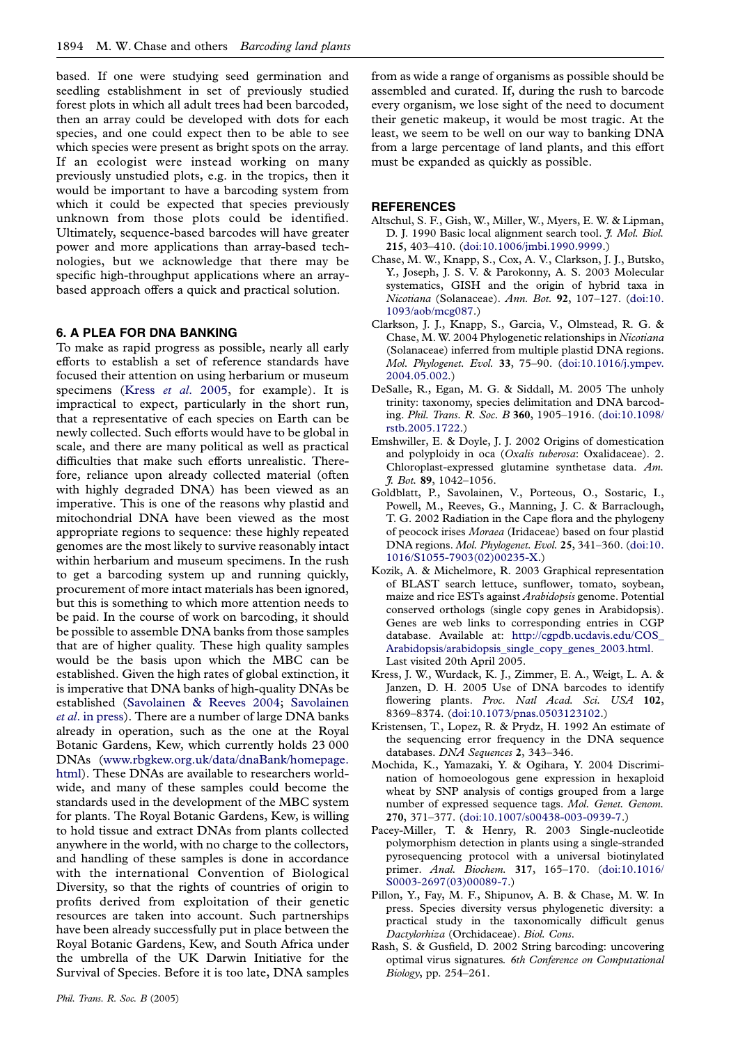<span id="page-5-0"></span>based. If one were studying seed germination and seedling establishment in set of previously studied forest plots in which all adult trees had been barcoded, then an array could be developed with dots for each species, and one could expect then to be able to see which species were present as bright spots on the array. If an ecologist were instead working on many previously unstudied plots, e.g. in the tropics, then it would be important to have a barcoding system from which it could be expected that species previously unknown from those plots could be identified. Ultimately, sequence-based barcodes will have greater power and more applications than array-based technologies, but we acknowledge that there may be specific high-throughput applications where an arraybased approach offers a quick and practical solution.

#### 6. A PLEA FOR DNA BANKING

To make as rapid progress as possible, nearly all early efforts to establish a set of reference standards have focused their attention on using herbarium or museum specimens (Kress et al. 2005, for example). It is impractical to expect, particularly in the short run, that a representative of each species on Earth can be newly collected. Such efforts would have to be global in scale, and there are many political as well as practical difficulties that make such efforts unrealistic. Therefore, reliance upon already collected material (often with highly degraded DNA) has been viewed as an imperative. This is one of the reasons why plastid and mitochondrial DNA have been viewed as the most appropriate regions to sequence: these highly repeated genomes are the most likely to survive reasonably intact within herbarium and museum specimens. In the rush to get a barcoding system up and running quickly, procurement of more intact materials has been ignored, but this is something to which more attention needs to be paid. In the course of work on barcoding, it should be possible to assemble DNA banks from those samples that are of higher quality. These high quality samples would be the basis upon which the MBC can be established. Given the high rates of global extinction, it is imperative that DNA banks of high-quality DNAs be established ([Savolainen & Reeves 2004;](#page-6-0) [Savolainen](#page-6-0) et al[. in press\)](#page-6-0). There are a number of large DNA banks already in operation, such as the one at the Royal Botanic Gardens, Kew, which currently holds 23 000 DNAs [\(www.rbgkew.org.uk/data/dnaBank/homepage.](http://www.rbgkew.org.uk/data/dnaBank/homepage.html) [html\)](http://www.rbgkew.org.uk/data/dnaBank/homepage.html). These DNAs are available to researchers worldwide, and many of these samples could become the standards used in the development of the MBC system for plants. The Royal Botanic Gardens, Kew, is willing to hold tissue and extract DNAs from plants collected anywhere in the world, with no charge to the collectors, and handling of these samples is done in accordance with the international Convention of Biological Diversity, so that the rights of countries of origin to profits derived from exploitation of their genetic resources are taken into account. Such partnerships have been already successfully put in place between the Royal Botanic Gardens, Kew, and South Africa under the umbrella of the UK Darwin Initiative for the Survival of Species. Before it is too late, DNA samples

from as wide a range of organisms as possible should be assembled and curated. If, during the rush to barcode every organism, we lose sight of the need to document their genetic makeup, it would be most tragic. At the least, we seem to be well on our way to banking DNA from a large percentage of land plants, and this effort must be expanded as quickly as possible.

#### **REFERENCES**

- Altschul, S. F., Gish, W., Miller, W., Myers, E. W. & Lipman, D. I. 1990 Basic local alignment search tool. F. Mol. Biol. 215, 403–410. ([doi:10.1006/jmbi.1990.9999.](http://dx.doi.org/doi:10.1006/jmbi.1990.9999))
- Chase, M. W., Knapp, S., Cox, A. V., Clarkson, J. J., Butsko, Y., Joseph, J. S. V. & Parokonny, A. S. 2003 Molecular systematics, GISH and the origin of hybrid taxa in Nicotiana (Solanaceae). Ann. Bot. 92, 107–127. ([doi:10.](http://dx.doi.org/doi:10.1093/aob/mcg087) [1093/aob/mcg087.](http://dx.doi.org/doi:10.1093/aob/mcg087))
- Clarkson, J. J., Knapp, S., Garcia, V., Olmstead, R. G. & Chase, M. W. 2004 Phylogenetic relationships in Nicotiana (Solanaceae) inferred from multiple plastid DNA regions. Mol. Phylogenet. Evol. 33, 75–90. [\(doi:10.1016/j.ympev.](http://dx.doi.org/doi:10.1016/j.ympev.2004.05.002) [2004.05.002.\)](http://dx.doi.org/doi:10.1016/j.ympev.2004.05.002)
- DeSalle, R., Egan, M. G. & Siddall, M. 2005 The unholy trinity: taxonomy, species delimitation and DNA barcoding. Phil. Trans. R. Soc. B 360, 1905–1916. ([doi:10.1098/](http://dx.doi.org/doi:10.1098/rstb.2005.1722) [rstb.2005.1722.\)](http://dx.doi.org/doi:10.1098/rstb.2005.1722)
- Emshwiller, E. & Doyle, J. J. 2002 Origins of domestication and polyploidy in oca (Oxalis tuberosa: Oxalidaceae). 2. Chloroplast-expressed glutamine synthetase data. Am. J. Bot. 89, 1042–1056.
- Goldblatt, P., Savolainen, V., Porteous, O., Sostaric, I., Powell, M., Reeves, G., Manning, J. C. & Barraclough, T. G. 2002 Radiation in the Cape flora and the phylogeny of peocock irises Moraea (Iridaceae) based on four plastid DNA regions. Mol. Phylogenet. Evol. 25, 341–360. ([doi:10.](http://dx.doi.org/doi:10.1016/S1055-7903(02)00235-X) [1016/S1055-7903\(02\)00235-X.](http://dx.doi.org/doi:10.1016/S1055-7903(02)00235-X))
- Kozik, A. & Michelmore, R. 2003 Graphical representation of BLAST search lettuce, sunflower, tomato, soybean, maize and rice ESTs against Arabidopsis genome. Potential conserved orthologs (single copy genes in Arabidopsis). Genes are web links to corresponding entries in CGP database. Available at: [http://cgpdb.ucdavis.edu/COS\\_](http://cgpdb.ucdavis.edu/COS_Arabidopsis/arabidopsis_single_copy_genes_2003.html) [Arabidopsis/arabidopsis\\_single\\_copy\\_genes\\_2003.html.](http://cgpdb.ucdavis.edu/COS_Arabidopsis/arabidopsis_single_copy_genes_2003.html) Last visited 20th April 2005.
- Kress, J. W., Wurdack, K. J., Zimmer, E. A., Weigt, L. A. & Janzen, D. H. 2005 Use of DNA barcodes to identify flowering plants. Proc. Natl Acad. Sci. USA 102, 8369–8374. [\(doi:10.1073/pnas.0503123102.\)](http://dx.doi.org/doi:10.1073/pnas.0503123102)
- Kristensen, T., Lopez, R. & Prydz, H. 1992 An estimate of the sequencing error frequency in the DNA sequence databases. DNA Sequences 2, 343–346.
- Mochida, K., Yamazaki, Y. & Ogihara, Y. 2004 Discrimination of homoeologous gene expression in hexaploid wheat by SNP analysis of contigs grouped from a large number of expressed sequence tags. Mol. Genet. Genom. 270, 371–377. ([doi:10.1007/s00438-003-0939-7.\)](http://dx.doi.org/doi:10.1007/s00438-003-0939-7)
- Pacey-Miller, T. & Henry, R. 2003 Single-nucleotide polymorphism detection in plants using a single-stranded pyrosequencing protocol with a universal biotinylated primer. Anal. Biochem. 317, 165–170. ([doi:10.1016/](http://dx.doi.org/doi:10.1016/S0003-2697(03)00089-7) [S0003-2697\(03\)00089-7.\)](http://dx.doi.org/doi:10.1016/S0003-2697(03)00089-7)
- Pillon, Y., Fay, M. F., Shipunov, A. B. & Chase, M. W. In press. Species diversity versus phylogenetic diversity: a practical study in the taxonomically difficult genus Dactylorhiza (Orchidaceae). Biol. Cons.
- Rash, S. & Gusfield, D. 2002 String barcoding: uncovering optimal virus signatures. 6th Conference on Computational Biology, pp. 254–261.